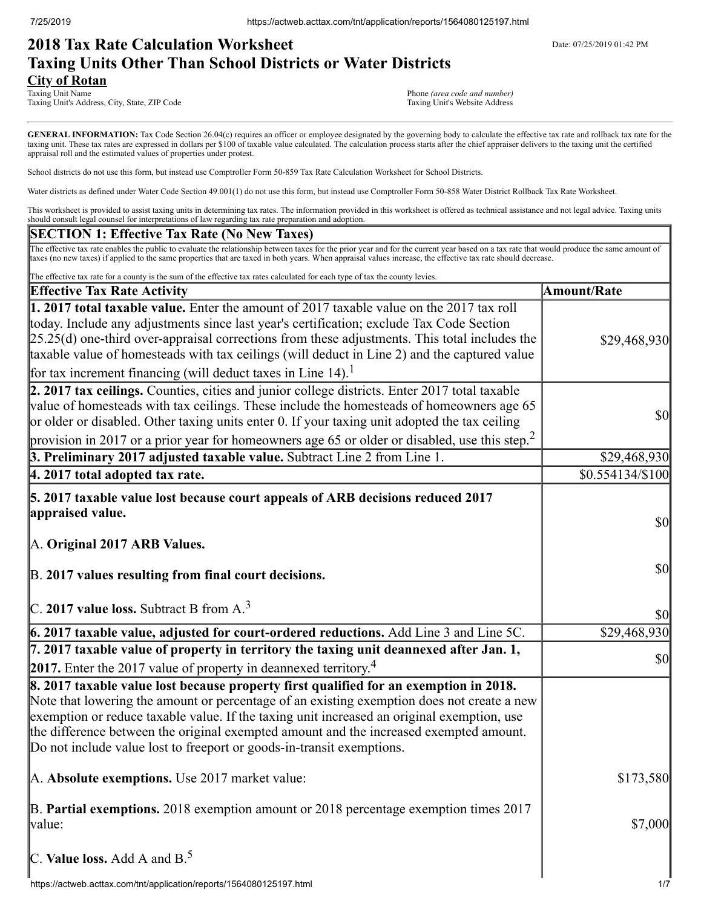# **2018 Tax Rate Calculation Worksheet** Department Date: 07/25/2019 01:42 PM **Taxing Units Other Than School Districts or Water Districts City of Rotan**<br>Taxing Unit Name

Taxing Unit's Address, City, State, ZIP Code

Phone *(area code and number)*<br>Taxing Unit's Website Address

GENERAL INFORMATION: Tax Code Section 26.04(c) requires an officer or employee designated by the governing body to calculate the effective tax rate and rollback tax rate for the taxing unit. These tax rates are expressed in dollars per \$100 of taxable value calculated. The calculation process starts after the chief appraiser delivers to the taxing unit the certified appraisal roll and the estimated values of properties under protest.

School districts do not use this form, but instead use Comptroller Form 50-859 Tax Rate Calculation Worksheet for School Districts.

Water districts as defined under Water Code Section 49.001(1) do not use this form, but instead use Comptroller Form 50-858 Water District Rollback Tax Rate Worksheet.

This worksheet is provided to assist taxing units in determining tax rates. The information provided in this worksheet is offered as technical assistance and not legal advice. Taxing units should consult legal counsel for interpretations of law regarding tax rate preparation and adoption.

### **SECTION 1: Effective Tax Rate (No New Taxes)**

The effective tax rate enables the public to evaluate the relationship between taxes for the prior year and for the current year based on a tax rate that would produce the same amount of taxes (no new taxes) if applied to the same properties that are taxed in both years. When appraisal values increase, the effective tax rate should decrease.

| The effective tax rate for a county is the sum of the effective tax rates calculated for each type of tax the county levies.                                                                                                                                                                                                                                                                                                                                         |                                     |
|----------------------------------------------------------------------------------------------------------------------------------------------------------------------------------------------------------------------------------------------------------------------------------------------------------------------------------------------------------------------------------------------------------------------------------------------------------------------|-------------------------------------|
| <b>Effective Tax Rate Activity</b>                                                                                                                                                                                                                                                                                                                                                                                                                                   | <b>Amount/Rate</b>                  |
| 1. 2017 total taxable value. Enter the amount of 2017 taxable value on the 2017 tax roll<br>today. Include any adjustments since last year's certification; exclude Tax Code Section<br>$[25.25(d)$ one-third over-appraisal corrections from these adjustments. This total includes the<br>taxable value of homesteads with tax ceilings (will deduct in Line 2) and the captured value<br>for tax increment financing (will deduct taxes in Line 14). <sup>1</sup> | \$29,468,930                        |
| 2. 2017 tax ceilings. Counties, cities and junior college districts. Enter 2017 total taxable<br>value of homesteads with tax ceilings. These include the homesteads of homeowners age 65<br>or older or disabled. Other taxing units enter 0. If your taxing unit adopted the tax ceiling<br>provision in 2017 or a prior year for homeowners age 65 or older or disabled, use this step. <sup>2</sup>                                                              | $\sqrt{50}$                         |
| 3. Preliminary 2017 adjusted taxable value. Subtract Line 2 from Line 1.                                                                                                                                                                                                                                                                                                                                                                                             | \$29,468,930                        |
| 4. 2017 total adopted tax rate.                                                                                                                                                                                                                                                                                                                                                                                                                                      | $$0.554134/\$100$                   |
| 5. 2017 taxable value lost because court appeals of ARB decisions reduced 2017<br>appraised value.<br>A. Original 2017 ARB Values.                                                                                                                                                                                                                                                                                                                                   | $\sqrt{50}$                         |
| B. 2017 values resulting from final court decisions.<br>$C.$ 2017 value loss. Subtract B from A. <sup>3</sup>                                                                                                                                                                                                                                                                                                                                                        | $\vert \mathbf{S} \mathbf{0} \vert$ |
|                                                                                                                                                                                                                                                                                                                                                                                                                                                                      | $ 10\rangle$                        |
| 6. 2017 taxable value, adjusted for court-ordered reductions. Add Line 3 and Line 5C.                                                                                                                                                                                                                                                                                                                                                                                | \$29,468,930                        |
| 7. 2017 taxable value of property in territory the taxing unit deannexed after Jan. 1,<br>2017. Enter the 2017 value of property in deannexed territory. <sup>4</sup>                                                                                                                                                                                                                                                                                                | $\vert \$\text{0}\vert$             |
| 8. 2017 taxable value lost because property first qualified for an exemption in 2018.<br>Note that lowering the amount or percentage of an existing exemption does not create a new<br>exemption or reduce taxable value. If the taxing unit increased an original exemption, use<br>the difference between the original exempted amount and the increased exempted amount.<br>Do not include value lost to freeport or goods-in-transit exemptions.                 |                                     |
| A. Absolute exemptions. Use 2017 market value:                                                                                                                                                                                                                                                                                                                                                                                                                       | \$173,580                           |
| B. Partial exemptions. 2018 exemption amount or 2018 percentage exemption times 2017<br>value:                                                                                                                                                                                                                                                                                                                                                                       | \$7,000                             |
| C. Value loss. Add A and $B^5$ .                                                                                                                                                                                                                                                                                                                                                                                                                                     |                                     |
| https://actweb.acttax.com/tnt/application/reports/1564080125197.html                                                                                                                                                                                                                                                                                                                                                                                                 | 1/7                                 |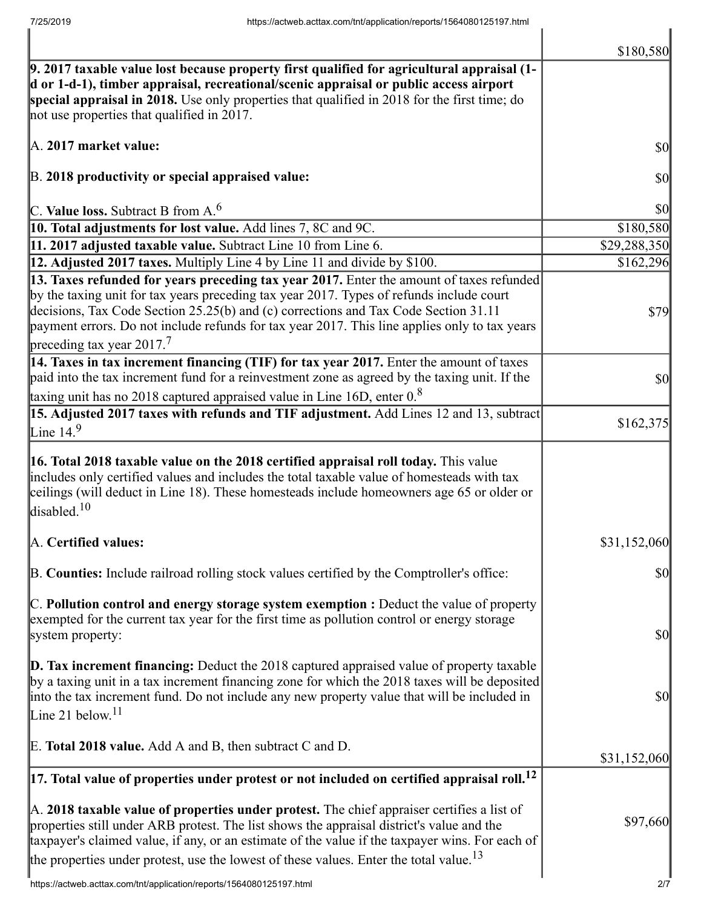|                                                                                                                                                                                                                                                                                                                                                                                                  | \$180,580               |
|--------------------------------------------------------------------------------------------------------------------------------------------------------------------------------------------------------------------------------------------------------------------------------------------------------------------------------------------------------------------------------------------------|-------------------------|
| $\vert$ 9. 2017 taxable value lost because property first qualified for agricultural appraisal (1-<br>d or 1-d-1), timber appraisal, recreational/scenic appraisal or public access airport<br>special appraisal in 2018. Use only properties that qualified in 2018 for the first time; do<br>not use properties that qualified in 2017.                                                        |                         |
| A. 2017 market value:                                                                                                                                                                                                                                                                                                                                                                            | $\sqrt{50}$             |
| B. 2018 productivity or special appraised value:                                                                                                                                                                                                                                                                                                                                                 | $ 10\rangle$            |
| C. Value loss. Subtract B from $A6$                                                                                                                                                                                                                                                                                                                                                              | $\vert \$\text{O}\vert$ |
| 10. Total adjustments for lost value. Add lines 7, 8C and 9C.                                                                                                                                                                                                                                                                                                                                    | \$180,580               |
| 11. 2017 adjusted taxable value. Subtract Line 10 from Line 6.                                                                                                                                                                                                                                                                                                                                   | \$29,288,350            |
| 12. Adjusted 2017 taxes. Multiply Line 4 by Line 11 and divide by \$100.                                                                                                                                                                                                                                                                                                                         | \$162,296               |
| 13. Taxes refunded for years preceding tax year 2017. Enter the amount of taxes refunded                                                                                                                                                                                                                                                                                                         |                         |
| by the taxing unit for tax years preceding tax year 2017. Types of refunds include court<br>decisions, Tax Code Section 25.25(b) and (c) corrections and Tax Code Section 31.11<br>payment errors. Do not include refunds for tax year 2017. This line applies only to tax years<br>preceding tax year $2017$ <sup>7</sup>                                                                       | <b>\$79</b>             |
| 14. Taxes in tax increment financing (TIF) for tax year 2017. Enter the amount of taxes                                                                                                                                                                                                                                                                                                          |                         |
| paid into the tax increment fund for a reinvestment zone as agreed by the taxing unit. If the                                                                                                                                                                                                                                                                                                    | <b>\$0</b>              |
| taxing unit has no 2018 captured appraised value in Line 16D, enter $0.8$                                                                                                                                                                                                                                                                                                                        |                         |
| 15. Adjusted 2017 taxes with refunds and TIF adjustment. Add Lines 12 and 13, subtract                                                                                                                                                                                                                                                                                                           |                         |
| Line $14.9$                                                                                                                                                                                                                                                                                                                                                                                      | \$162,375               |
| <b>16. Total 2018 taxable value on the 2018 certified appraisal roll today.</b> This value<br>includes only certified values and includes the total taxable value of homesteads with tax<br>ceilings (will deduct in Line 18). These homesteads include homeowners age 65 or older or<br>disabled. <sup>10</sup>                                                                                 |                         |
| A. Certified values:                                                                                                                                                                                                                                                                                                                                                                             | \$31,152,060            |
| B. Counties: Include railroad rolling stock values certified by the Comptroller's office:                                                                                                                                                                                                                                                                                                        | $\vert \$\text{0}\vert$ |
| $\mathbb C$ . Pollution control and energy storage system exemption : Deduct the value of property<br>exempted for the current tax year for the first time as pollution control or energy storage<br>system property:                                                                                                                                                                            | <b>\$0</b>              |
| <b>D. Tax increment financing:</b> Deduct the 2018 captured appraised value of property taxable<br>by a taxing unit in a tax increment financing zone for which the 2018 taxes will be deposited<br>into the tax increment fund. Do not include any new property value that will be included in<br>Line 21 below. <sup>11</sup>                                                                  | <b>\$0</b>              |
| E. Total 2018 value. Add A and B, then subtract C and D.                                                                                                                                                                                                                                                                                                                                         | \$31,152,060            |
| $\vert$ 17. Total value of properties under protest or not included on certified appraisal roll. <sup>12</sup>                                                                                                                                                                                                                                                                                   |                         |
| A. 2018 taxable value of properties under protest. The chief appraiser certifies a list of<br>properties still under ARB protest. The list shows the appraisal district's value and the<br>taxpayer's claimed value, if any, or an estimate of the value if the taxpayer wins. For each of<br>the properties under protest, use the lowest of these values. Enter the total value. <sup>13</sup> | \$97,660                |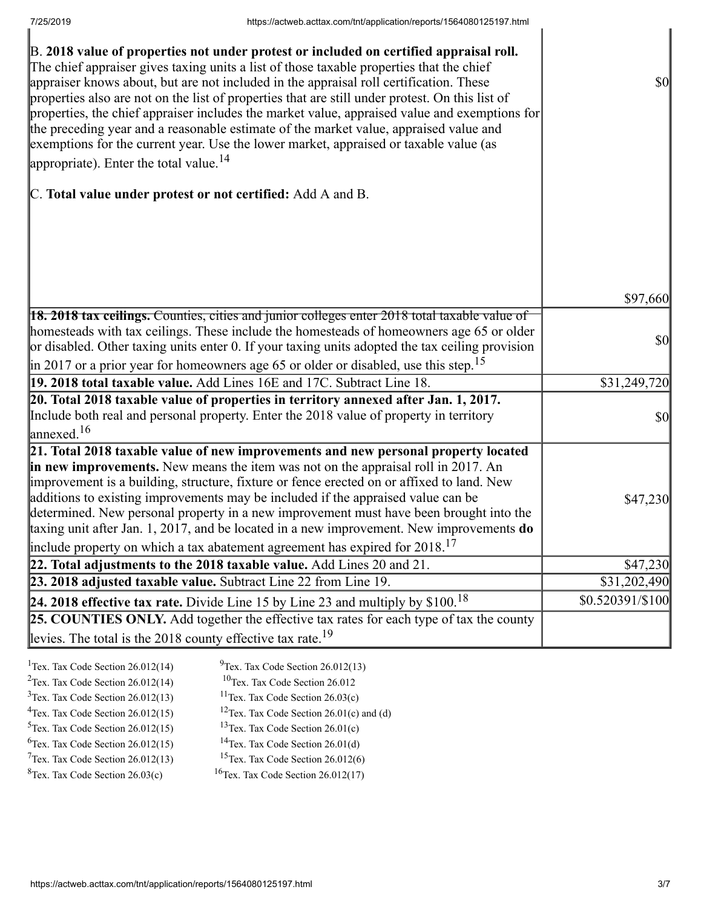| B. 2018 value of properties not under protest or included on certified appraisal roll.<br>The chief appraiser gives taxing units a list of those taxable properties that the chief<br>appraiser knows about, but are not included in the appraisal roll certification. These<br>properties also are not on the list of properties that are still under protest. On this list of<br>properties, the chief appraiser includes the market value, appraised value and exemptions for<br>the preceding year and a reasonable estimate of the market value, appraised value and<br>exemptions for the current year. Use the lower market, appraised or taxable value (as<br>appropriate). Enter the total value. <sup>14</sup> | \$0              |
|--------------------------------------------------------------------------------------------------------------------------------------------------------------------------------------------------------------------------------------------------------------------------------------------------------------------------------------------------------------------------------------------------------------------------------------------------------------------------------------------------------------------------------------------------------------------------------------------------------------------------------------------------------------------------------------------------------------------------|------------------|
| C. Total value under protest or not certified: Add A and B.                                                                                                                                                                                                                                                                                                                                                                                                                                                                                                                                                                                                                                                              |                  |
|                                                                                                                                                                                                                                                                                                                                                                                                                                                                                                                                                                                                                                                                                                                          | \$97,660         |
|                                                                                                                                                                                                                                                                                                                                                                                                                                                                                                                                                                                                                                                                                                                          |                  |
| <b>18. 2018 tax ceilings.</b> Counties, cities and junior colleges enter 2018 total taxable value of<br>homesteads with tax ceilings. These include the homesteads of homeowners age 65 or older<br>or disabled. Other taxing units enter 0. If your taxing units adopted the tax ceiling provision<br>$\parallel$ in 2017 or a prior year for homeowners age 65 or older or disabled, use this step. <sup>15</sup>                                                                                                                                                                                                                                                                                                      | \$0              |
| 19. 2018 total taxable value. Add Lines 16E and 17C. Subtract Line 18.                                                                                                                                                                                                                                                                                                                                                                                                                                                                                                                                                                                                                                                   | \$31,249,720     |
| 20. Total 2018 taxable value of properties in territory annexed after Jan. 1, 2017.<br>Include both real and personal property. Enter the 2018 value of property in territory<br>$\lvert$ annexed. <sup>16</sup>                                                                                                                                                                                                                                                                                                                                                                                                                                                                                                         | $ 10\rangle$     |
| 21. Total 2018 taxable value of new improvements and new personal property located<br>in new improvements. New means the item was not on the appraisal roll in 2017. An<br>improvement is a building, structure, fixture or fence erected on or affixed to land. New<br>additions to existing improvements may be included if the appraised value can be<br>determined. New personal property in a new improvement must have been brought into the<br>taxing unit after Jan. 1, 2017, and be located in a new improvement. New improvements $do$<br>include property on which a tax abatement agreement has expired for $2018$ . <sup>17</sup>                                                                           | \$47,230         |
| 22. Total adjustments to the 2018 taxable value. Add Lines 20 and 21.                                                                                                                                                                                                                                                                                                                                                                                                                                                                                                                                                                                                                                                    | \$47,230         |
| 23. 2018 adjusted taxable value. Subtract Line 22 from Line 19.                                                                                                                                                                                                                                                                                                                                                                                                                                                                                                                                                                                                                                                          | \$31,202,490     |
| 24. 2018 effective tax rate. Divide Line 15 by Line 23 and multiply by $$100.18$                                                                                                                                                                                                                                                                                                                                                                                                                                                                                                                                                                                                                                         | \$0.520391/\$100 |
| 25. COUNTIES ONLY. Add together the effective tax rates for each type of tax the county                                                                                                                                                                                                                                                                                                                                                                                                                                                                                                                                                                                                                                  |                  |
| levies. The total is the 2018 county effective tax rate. <sup>19</sup>                                                                                                                                                                                                                                                                                                                                                                                                                                                                                                                                                                                                                                                   |                  |
|                                                                                                                                                                                                                                                                                                                                                                                                                                                                                                                                                                                                                                                                                                                          |                  |

| <sup>1</sup> Tex. Tax Code Section $26.012(14)$ | $^{9}$ Tex. Tax Code Section 26.012(13)                |
|-------------------------------------------------|--------------------------------------------------------|
| $2$ Tex. Tax Code Section 26.012(14)            | <sup>10</sup> Tex. Tax Code Section 26.012             |
| $3$ Tex. Tax Code Section 26.012(13)            | <sup>11</sup> Tex. Tax Code Section $26.03(c)$         |
| $4$ Tex. Tax Code Section 26.012(15)            | <sup>12</sup> Tex. Tax Code Section $26.01(c)$ and (d) |
| $5$ Tex. Tax Code Section 26.012(15)            | <sup>13</sup> Tex. Tax Code Section $26.01(c)$         |
| ${}^{6}$ Tex. Tax Code Section 26.012(15)       | <sup>14</sup> Tex. Tax Code Section $26.01(d)$         |
| $7$ Tex. Tax Code Section 26.012(13)            | <sup>15</sup> Tex. Tax Code Section $26.012(6)$        |
| ${}^{8}$ Tex. Tax Code Section 26.03(c)         | <sup>16</sup> Tex. Tax Code Section $26.012(17)$       |
|                                                 |                                                        |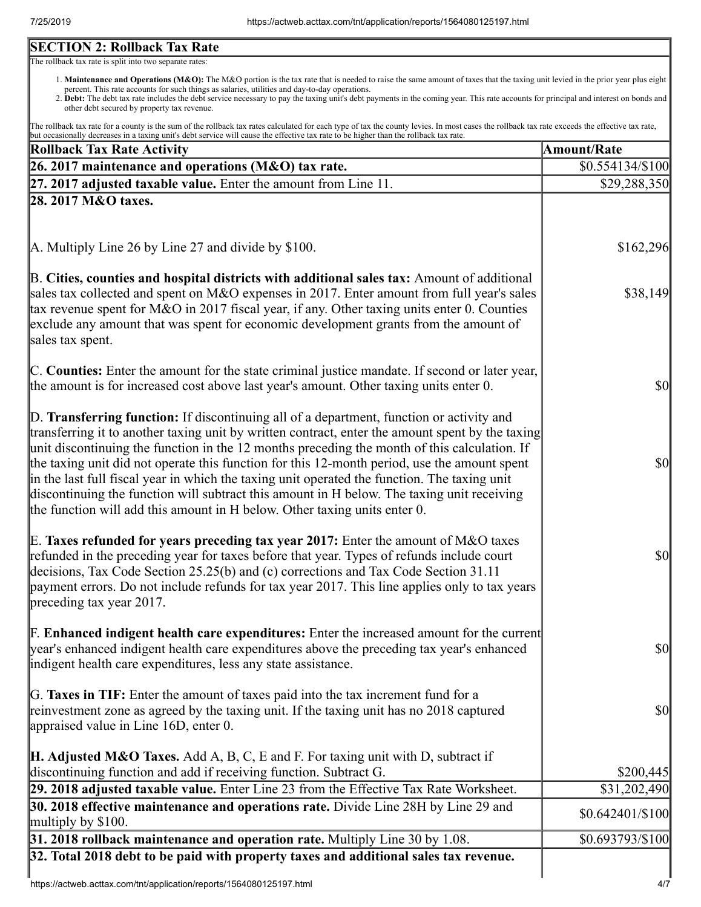# **SECTION 2: Rollback Tax Rate**

The rollback tax rate is split into two separate rates:

- 1. Maintenance and Operations (M&O): The M&O portion is the tax rate that is needed to raise the same amount of taxes that the taxing unit levied in the prior year plus eight percent. This rate accounts for such things as salaries, utilities and day-to-day operations.
- 2. Debt: The debt tax rate includes the debt service necessary to pay the taxing unit's debt payments in the coming year. This rate accounts for principal and interest on bonds and other debt secured by property tax revenue.

The rollback tax rate for a county is the sum of the rollback tax rates calculated for each type of tax the county levies. In most cases the rollback tax rate exceeds the effective tax rate, but occasionally decreases in a taxing unit's debt service will cause the effective tax rate to be higher than the rollback tax rate.

| <b>Rollback Tax Rate Activity</b>                                                                                                                                                                                                                                                                                                                                                                                                                                                                                                                                                                                                                                       | <b>Amount/Rate</b> |
|-------------------------------------------------------------------------------------------------------------------------------------------------------------------------------------------------------------------------------------------------------------------------------------------------------------------------------------------------------------------------------------------------------------------------------------------------------------------------------------------------------------------------------------------------------------------------------------------------------------------------------------------------------------------------|--------------------|
| 26. 2017 maintenance and operations (M&O) tax rate.                                                                                                                                                                                                                                                                                                                                                                                                                                                                                                                                                                                                                     | \$0.554134/\$100   |
| $[27. 2017]$ adjusted taxable value. Enter the amount from Line 11.                                                                                                                                                                                                                                                                                                                                                                                                                                                                                                                                                                                                     | \$29,288,350       |
| 28. 2017 M&O taxes.                                                                                                                                                                                                                                                                                                                                                                                                                                                                                                                                                                                                                                                     |                    |
|                                                                                                                                                                                                                                                                                                                                                                                                                                                                                                                                                                                                                                                                         |                    |
| A. Multiply Line 26 by Line 27 and divide by \$100.                                                                                                                                                                                                                                                                                                                                                                                                                                                                                                                                                                                                                     | \$162,296          |
| B. Cities, counties and hospital districts with additional sales tax: Amount of additional<br>sales tax collected and spent on M&O expenses in 2017. Enter amount from full year's sales<br>tax revenue spent for M&O in 2017 fiscal year, if any. Other taxing units enter 0. Counties<br>exclude any amount that was spent for economic development grants from the amount of<br>sales tax spent.                                                                                                                                                                                                                                                                     | \$38,149           |
| C. Counties: Enter the amount for the state criminal justice mandate. If second or later year,<br>the amount is for increased cost above last year's amount. Other taxing units enter 0.                                                                                                                                                                                                                                                                                                                                                                                                                                                                                | $\frac{1}{2}$      |
| D. Transferring function: If discontinuing all of a department, function or activity and<br>transferring it to another taxing unit by written contract, enter the amount spent by the taxing<br>unit discontinuing the function in the 12 months preceding the month of this calculation. If<br>the taxing unit did not operate this function for this 12-month period, use the amount spent<br>in the last full fiscal year in which the taxing unit operated the function. The taxing unit<br>discontinuing the function will subtract this amount in H below. The taxing unit receiving<br>the function will add this amount in H below. Other taxing units enter 0. | $ 10\rangle$       |
| E. Taxes refunded for years preceding tax year 2017: Enter the amount of M&O taxes<br>refunded in the preceding year for taxes before that year. Types of refunds include court<br>decisions, Tax Code Section 25.25(b) and (c) corrections and Tax Code Section 31.11<br>payment errors. Do not include refunds for tax year 2017. This line applies only to tax years<br>preceding tax year 2017.                                                                                                                                                                                                                                                                     | $\frac{1}{2}$      |
| <b>F. Enhanced indigent health care expenditures:</b> Enter the increased amount for the current<br>year's enhanced indigent health care expenditures above the preceding tax year's enhanced<br>indigent health care expenditures, less any state assistance.                                                                                                                                                                                                                                                                                                                                                                                                          | $\sqrt{50}$        |
| G. Taxes in TIF: Enter the amount of taxes paid into the tax increment fund for a<br>reinvestment zone as agreed by the taxing unit. If the taxing unit has no 2018 captured<br>appraised value in Line 16D, enter 0.                                                                                                                                                                                                                                                                                                                                                                                                                                                   | $\sqrt{50}$        |
| <b>H. Adjusted M&amp;O Taxes.</b> Add A, B, C, E and F. For taxing unit with D, subtract if<br>discontinuing function and add if receiving function. Subtract G.                                                                                                                                                                                                                                                                                                                                                                                                                                                                                                        | \$200,445          |
| 29. 2018 adjusted taxable value. Enter Line 23 from the Effective Tax Rate Worksheet.                                                                                                                                                                                                                                                                                                                                                                                                                                                                                                                                                                                   | \$31,202,490       |
| 30. 2018 effective maintenance and operations rate. Divide Line 28H by Line 29 and                                                                                                                                                                                                                                                                                                                                                                                                                                                                                                                                                                                      | $$0.642401/\$100$  |
| multiply by $$100$ .<br>$31.2018$ rollback maintenance and operation rate. Multiply Line 30 by 1.08.                                                                                                                                                                                                                                                                                                                                                                                                                                                                                                                                                                    | \$0.693793/\$100   |
| 32. Total 2018 debt to be paid with property taxes and additional sales tax revenue.                                                                                                                                                                                                                                                                                                                                                                                                                                                                                                                                                                                    |                    |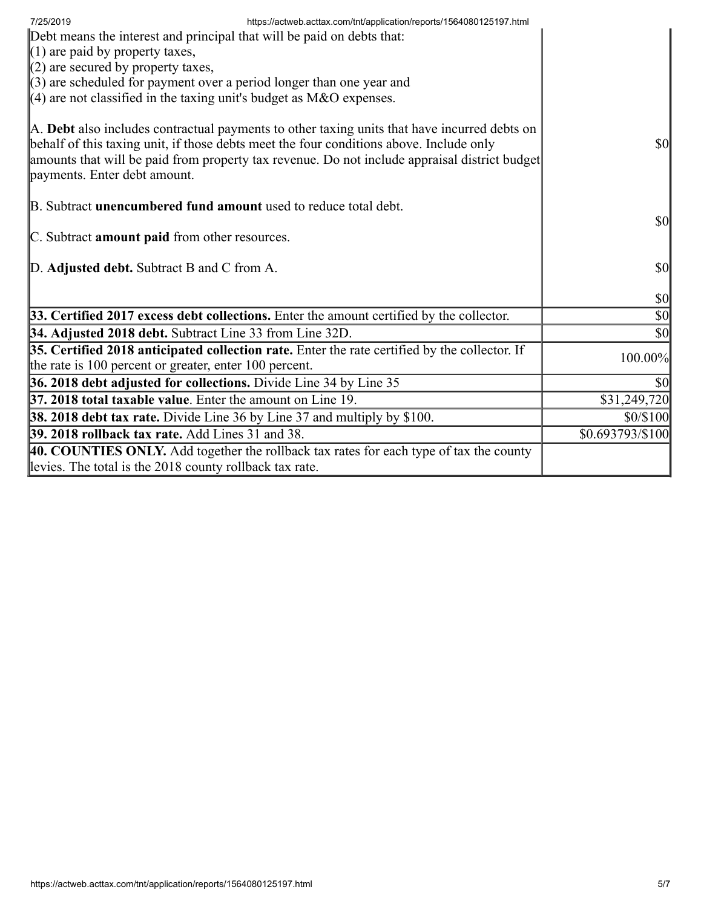| https://actweb.acttax.com/tnt/application/reports/1564080125197.html<br>7/25/2019<br>Debt means the interest and principal that will be paid on debts that:<br>$(1)$ are paid by property taxes,<br>$(2)$ are secured by property taxes,<br>$\parallel$ (3) are scheduled for payment over a period longer than one year and<br>(4) are not classified in the taxing unit's budget as M&O expenses. |                                     |
|-----------------------------------------------------------------------------------------------------------------------------------------------------------------------------------------------------------------------------------------------------------------------------------------------------------------------------------------------------------------------------------------------------|-------------------------------------|
| A. Debt also includes contractual payments to other taxing units that have incurred debts on<br>behalf of this taxing unit, if those debts meet the four conditions above. Include only<br>amounts that will be paid from property tax revenue. Do not include appraisal district budget<br>payments. Enter debt amount.                                                                            | <b>\$0</b>                          |
| B. Subtract <b>unencumbered fund amount</b> used to reduce total debt.<br>C. Subtract amount paid from other resources.                                                                                                                                                                                                                                                                             | <b>\$0</b>                          |
| D. Adjusted debt. Subtract B and C from A.                                                                                                                                                                                                                                                                                                                                                          | $\vert \$\text{0}\vert$             |
|                                                                                                                                                                                                                                                                                                                                                                                                     | $ 10\rangle$                        |
| 33. Certified 2017 excess debt collections. Enter the amount certified by the collector.                                                                                                                                                                                                                                                                                                            | $\vert \mathbf{S} \mathbf{0} \vert$ |
| 34. Adjusted 2018 debt. Subtract Line 33 from Line 32D.                                                                                                                                                                                                                                                                                                                                             | $\vert \mathbf{S} \mathbf{0} \vert$ |
| 35. Certified 2018 anticipated collection rate. Enter the rate certified by the collector. If<br>the rate is 100 percent or greater, enter 100 percent.                                                                                                                                                                                                                                             | 100.00%                             |
| 36. 2018 debt adjusted for collections. Divide Line 34 by Line 35                                                                                                                                                                                                                                                                                                                                   | \$0                                 |
| <b>37. 2018 total taxable value.</b> Enter the amount on Line 19.                                                                                                                                                                                                                                                                                                                                   | \$31,249,720                        |
| <b>38. 2018 debt tax rate.</b> Divide Line 36 by Line 37 and multiply by \$100.                                                                                                                                                                                                                                                                                                                     | \$0/\$100                           |
| 39. 2018 rollback tax rate. Add Lines 31 and 38.                                                                                                                                                                                                                                                                                                                                                    | \$0.693793/\$100                    |
| 40. COUNTIES ONLY. Add together the rollback tax rates for each type of tax the county<br>levies. The total is the 2018 county rollback tax rate.                                                                                                                                                                                                                                                   |                                     |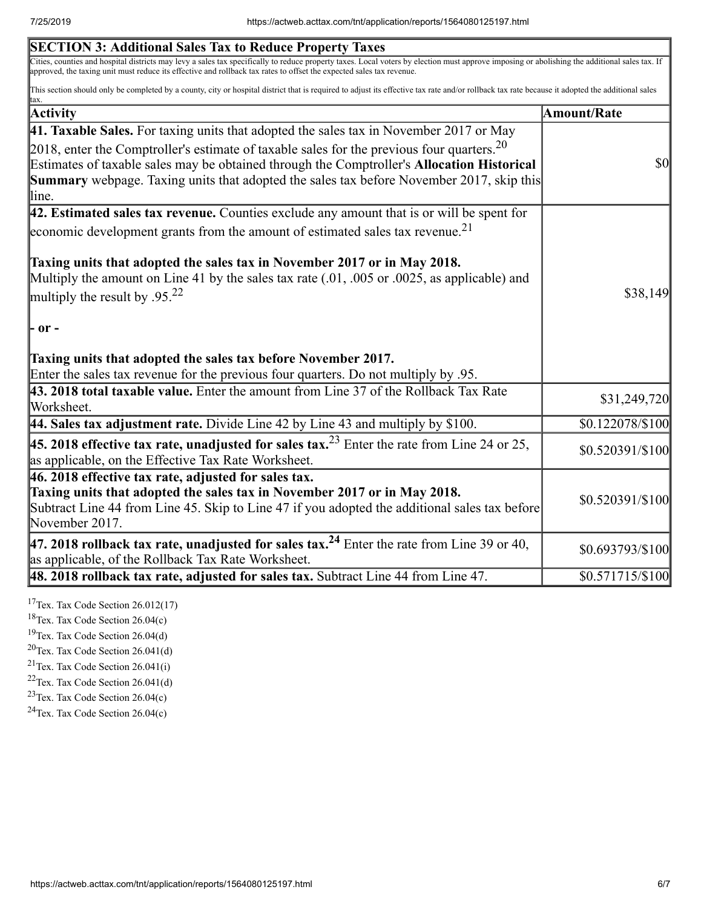| <b>SECTION 3: Additional Sales Tax to Reduce Property Taxes</b>                                                                                                                                                                                                                                                                                                                                  |                    |
|--------------------------------------------------------------------------------------------------------------------------------------------------------------------------------------------------------------------------------------------------------------------------------------------------------------------------------------------------------------------------------------------------|--------------------|
| Cities, counties and hospital districts may levy a sales tax specifically to reduce property taxes. Local voters by election must approve imposing or abolishing the additional sales tax. If<br>approved, the taxing unit must reduce its effective and rollback tax rates to offset the expected sales tax revenue.                                                                            |                    |
| This section should only be completed by a county, city or hospital district that is required to adjust its effective tax rate and/or rollback tax rate because it adopted the additional sales<br>tax.                                                                                                                                                                                          |                    |
| Activity                                                                                                                                                                                                                                                                                                                                                                                         | <b>Amount/Rate</b> |
| 41. Taxable Sales. For taxing units that adopted the sales tax in November 2017 or May<br>2018, enter the Comptroller's estimate of taxable sales for the previous four quarters. $20$<br>Estimates of taxable sales may be obtained through the Comptroller's Allocation Historical<br><b>Summary</b> webpage. Taxing units that adopted the sales tax before November 2017, skip this<br>line. | \$0                |
| $ 42$ . Estimated sales tax revenue. Counties exclude any amount that is or will be spent for                                                                                                                                                                                                                                                                                                    |                    |
| economic development grants from the amount of estimated sales tax revenue. <sup>21</sup>                                                                                                                                                                                                                                                                                                        |                    |
| Taxing units that adopted the sales tax in November 2017 or in May 2018.<br>Multiply the amount on Line 41 by the sales tax rate $(.01, .005)$ or $.0025$ , as applicable) and<br>multiply the result by $.9522$<br> - or -                                                                                                                                                                      | \$38,149           |
| Taxing units that adopted the sales tax before November 2017.<br>Enter the sales tax revenue for the previous four quarters. Do not multiply by .95.                                                                                                                                                                                                                                             |                    |
| 43. 2018 total taxable value. Enter the amount from Line 37 of the Rollback Tax Rate<br>Worksheet.                                                                                                                                                                                                                                                                                               | \$31,249,720       |
| 44. Sales tax adjustment rate. Divide Line 42 by Line 43 and multiply by \$100.                                                                                                                                                                                                                                                                                                                  | \$0.122078/\$100   |
| <b>45. 2018 effective tax rate, unadjusted for sales tax.</b> <sup>23</sup> Enter the rate from Line 24 or 25,<br>as applicable, on the Effective Tax Rate Worksheet.                                                                                                                                                                                                                            | \$0.520391/\$100   |
| $ 46.2018$ effective tax rate, adjusted for sales tax.<br>Taxing units that adopted the sales tax in November 2017 or in May 2018.<br>Subtract Line 44 from Line 45. Skip to Line 47 if you adopted the additional sales tax before<br>November 2017.                                                                                                                                            | \$0.520391/\$100   |
| 47. 2018 rollback tax rate, unadjusted for sales tax. <sup>24</sup> Enter the rate from Line 39 or 40,<br>as applicable, of the Rollback Tax Rate Worksheet.                                                                                                                                                                                                                                     | \$0.693793/\$100   |
| $\vert$ 48. 2018 rollback tax rate, adjusted for sales tax. Subtract Line 44 from Line 47.                                                                                                                                                                                                                                                                                                       | \$0.571715/\$100   |

<sup>17</sup>Tex. Tax Code Section  $26.012(17)$ 

 $18$ Tex. Tax Code Section 26.04(c)

<sup>19</sup>Tex. Tax Code Section 26.04(d)

 $20$ Tex. Tax Code Section 26.041(d)

 $21$ Tex. Tax Code Section 26.041(i)

 $22$ Tex. Tax Code Section 26.041(d)

<sup>23</sup>Tex. Tax Code Section  $26.04(c)$ 

 $24$ Tex. Tax Code Section 26.04(c)